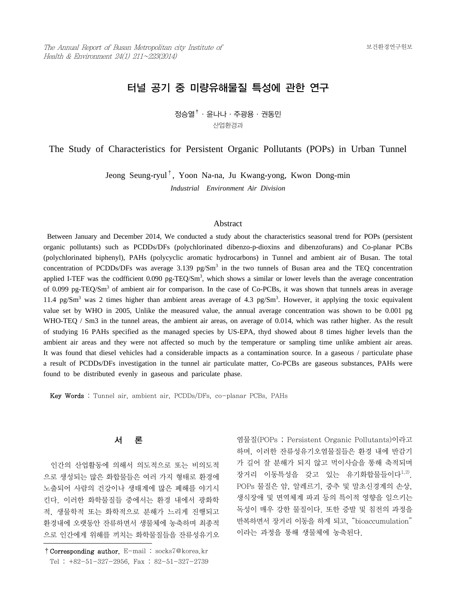# 터널 공기 중 미량유해물질 특성에 관한 연구

 $\overline{\mathcal{B}}$ 승열 $^\dagger$  · 윤나나 · 주광용 · 권동민 산업환경과

The Study of Characteristics for Persistent Organic Pollutants (POPs) in Urban Tunnel

Jeong Seung-ryul†, Yoon Na-na, Ju Kwang-yong, Kwon Dong-min *Industrial Environment Air Division*

#### Abstract

 Between January and December 2014, We conducted a study about the characteristics seasonal trend for POPs (persistent organic pollutants) such as PCDDs/DFs (polychlorinated dibenzo-p-dioxins and dibenzofurans) and Co-planar PCBs (polychlorinated biphenyl), PAHs (polycyclic aromatic hydrocarbons) in Tunnel and ambient air of Busan. The total concentration of PCDDs/DFs was average  $3.139$  pg/Sm<sup>3</sup> in the two tunnels of Busan area and the TEQ concentration applied I-TEF was the codfficient  $0.090$  pg-TEQ/Sm<sup>3</sup>, which shows a similar or lower levels than the average concentration of 0.099 pg-TEQ/Sm<sup>3</sup> of ambient air for comparison. In the case of Co-PCBs, it was shown that tunnels areas in average 11.4 pg/Sm<sup>3</sup> was 2 times higher than ambient areas average of 4.3 pg/Sm<sup>3</sup>. However, it applying the toxic equivalent value set by WHO in 2005, Unlike the measured value, the annual average concentration was shown to be 0.001 pg WHO-TEQ / Sm3 in the tunnel areas, the ambient air areas, on average of 0.014, which was rather higher. As the result of studying 16 PAHs specified as the managed species by US-EPA, thyd showed about 8 times higher levels than the ambient air areas and they were not affected so much by the temperature or sampling time unlike ambient air areas. It was found that diesel vehicles had a considerable impacts as a contamination source. In a gaseous / particulate phase a result of PCDDs/DFs investigation in the tunnel air particulate matter, Co-PCBs are gaseous substances, PAHs were found to be distributed evenly in gaseous and pariculate phase.

Key Words : Tunnel air, ambient air, PCDDs/DFs, co-planar PCBs, PAHs

### 서 론

 인간의 산업활동에 의해서 의도적으로 또는 비의도적 으로 생성되는 많은 화합물들은 여러 가지 형태로 환경에 노출되어 사람의 건강이나 생태계에 많은 폐해를 야기시 킨다. 이러한 화학물질들 중에서는 환경 내에서 광화학 적, 생물학적 또는 화학적으로 분해가 느리게 진행되고 환경내에 오랫동안 잔류하면서 생물체에 농축하며 최종적 으로 인간에게 위해를 끼치는 화학물질들을 잔류성유기오

염물질(POPs ; Persistent Organic Pollutants)이라고 하며, 이러한 잔류성유기오염물질들은 환경 내에 반감기 가 길어 잘 분해가 되지 않고 먹이사슬을 통해 축적되며 장거리 이동특성을 갖고 있는 유기화합물들이다<sup>1,2)</sup>. POPs 물질은 암, 알레르기, 중추 및 말초신경계의 손상, 생식장애 및 면역체계 파괴 등의 특이적 영향을 일으키는 독성이 매우 강한 물질이다. 또한 증발 및 침전의 과정을 반복하면서 장거리 이동을 하게 되고, "bioaccumulation" 이라는 과정을 통해 생물체에 농축된다.

<sup>†</sup>Corresponding author. E-mail : socks7@korea.kr Tel : +82-51-327-2956, Fax : 82-51-327-2739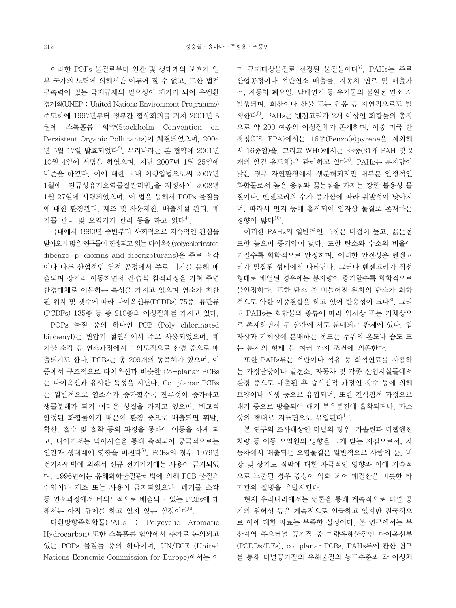이러한 POPs 물질로부터 인간 및 생태계의 보호가 일 부 국가의 노력에 의해서만 이루어 질 수 없고, 또한 법적 구속력이 있는 국제규제의 필요성이 제기가 되어 유엔환 경계획(UNEP ; United Nations Environment Programme) 주도하에 1997년부터 정부간 협상회의를 거쳐 2001년 5 월에 스톡홀름 협약(Stockholm Convention on Persistent Organic Pollutants)이 체결되었으며, 2004 년 5월 17일 발효되었다 $^{3}$ . 우리나라는 본 협약에 2001년 10월 4일에 서명을 하였으며, 지난 2007년 1월 25일에 비준을 하였다. 이에 대한 국내 이행입법으로써 2007년 1월에「잔류성유기오염물질관리법」을 제정하여 2008년 1월 27일에 시행되었으며, 이 법을 통해서 POPs 물질들 에 대한 환경관리, 제조 및 사용제한, 배출시설 관리, 폐 기물 관리 및 오염기기 관리 등을 하고 있다<sup>4)</sup>.

 국내에서 1990년 중반부터 사회적으로 지속적인 관심을 받아오며 많은 연구들이 진행되고 있는 다이옥신(polychlorinated dibenzo-p-dioxins and dibenzofurans)은 주로 소각 이나 다른 산업적인 열적 공정에서 주로 대기를 통해 배 출되며 장거리 이동하면서 건․습식 침적과정을 거쳐 주변 환경매체로 이동하는 특성을 가지고 있으며 염소가 치환 된 위치 및 갯수에 따라 다이옥신류(PCDDs) 75종, 퓨란류 (PCDFs) 135종 등 총 210종의 이성질체를 가지고 있다.

 POPs 물질 중의 하나인 PCB (Poly chlorinated biphenyl)는 변압기 절연유에서 주로 사용되었으며, 폐 기물 소각 등 연소과정에서 비의도적으로 환경 중으로 배 출되기도 한다. PCBs는 총 209개의 동족체가 있으며, 이 중에서 구조적으로 다이옥신과 비슷한 Co-planar PCBs 는 다이옥신과 유사한 독성을 지닌다. Co-planar PCBs 는 일반적으로 염소수가 증가할수록 잔류성이 증가하고 생물분해가 되기 어려운 성질을 가지고 있으며, 비교적 안정된 화합물이기 때문에 환경 중으로 배출되면 휘발, 확산, 흡수 및 흡착 등의 과정을 통하여 이동을 하게 되 고, 나아가서는 먹이사슬을 통해 축적되어 궁극적으로는 인간과 생태계에 영향을 미친다 $^{5)}$ . PCBs의 경우 1979년 전기사업법에 의해서 신규 전기기기에는 사용이 금지되었 며, 1996년에는 유해화학물질관리법에 의해 PCB 물질의 수입이나 제조 또는 사용이 금지되었으나, 폐기물 소각 등 연소과정에서 비의도적으로 배출되고 있는 PCBs에 대 해서는 아직 규제를 하고 있지 않는 실정이다<sup>6)</sup>.

 다환방향족화합물(PAHs ; Polycyclic Aromatic Hydrocarbon) 또한 스톡홀름 협약에서 추가로 논의되고 있는 POPs 물질들 중의 하나이며, UN/ECE (United Nations Economic Commission for Europe)에서는 이 미 규제대상물질로 선정된 물질들이다<sup>7)</sup>. PAHs는 주로 산업공정이나 석탄연소 배출물, 자동차 연료 및 배출가 스, 자동차 폐오일, 담배연기 등 유기물의 불완전 연소 시 발생되며, 화산이나 산불 또는 원유 등 자연적으로도 발 생한다8). PAHs는 벤젠고리가 2개 이상인 화합물의 총칭 으로 약 200 여종의 이성질체가 존재하며, 이중 미국 환 경청(US-EPA)에서는 16종(Benzo(e)pyrene을 제외해 서 16종임)을, 그리고 WHO에서는 33종(31개 PAH 및 2 개의 알킬 유도체)을 관리하고 있다 $^{9}$ . PAHs는 분자량이 낮은 경우 자연환경에서 생분해되지만 대부분 안정적인 화합물로서 높은 융점과 끓는점을 가지는 강한 불용성 물 질이다. 벤젠고리의 수가 증가함에 따라 휘발성이 낮아지 며, 따라서 먼지 등에 흡착되어 입자상 물질로 존재하는 경향이 많다 $^{10}$ .

 이러한 PAHs의 일반적인 특징은 비점이 높고, 끓는점 또한 높으며 증기압이 낮다. 또한 탄소와 수소의 비율이 커질수록 화학적으로 안정하며, 이러한 안전성은 벤젠고 리가 밀집된 형태에서 나타난다. 그러나 벤젠고리가 직선 형태로 배열된 경우에는 분자량이 증가할수록 화학적으로 불안정하다. 또한 탄소 중 비틀어진 위치의 탄소가 화학 적으로 약한 이중결합을 하고 있어 반응성이 크다<sup>8)</sup>. 그리 고 PAHs는 화합물의 종류에 따라 입자상 또는 기체상으 로 존재하면서 두 상간에 서로 분배되는 관계에 있다. 입 자상과 기체상에 분배하는 정도는 주위의 온도나 습도 또 는 분자의 형태 등 여러 가지 조건에 의존한다.

 또한 PAHs류는 석탄이나 석유 등 화석연료를 사용하 는 가정난방이나 발전소, 자동차 및 각종 산업시설들에서 환경 중으로 배출된 후 습식침적 과정인 강수 등에 의해 토양이나 식생 등으로 유입되며, 또한 건식침적 과정으로 대기 중으로 방출되어 대기 부유분진에 흡착되거나, 가스 상의 형태로 지표면으로 유입된다 $^{11}$ .

 본 연구의 조사대상인 터널의 경우, 가솔린과 디젤엔진 차량 등 이동 오염원의 영향을 크게 받는 지점으로서, 자 동차에서 배출되는 오염물질은 일반적으로 사람의 눈, 비 강 및 상기도 점막에 대한 자극적인 영향과 이에 지속적 으로 노출될 경우 증상이 악화 되어 폐질환을 비롯한 타 기관의 질병을 유발시킨다.

 현재 우리나라에서는 언론을 통해 계속적으로 터널 공 기의 위험성 등을 계속적으로 언급하고 있지만 전국적으 로 이에 대한 자료는 부족한 실정이다. 본 연구에서는 부 산지역 주요터널 공기질 중 미량유해물질인 다이옥신류 (PCDDs/DFs), co-planar PCBs, PAHs류에 관한 연구 를 통해 터널공기질의 유해물질의 농도수준과 각 이성체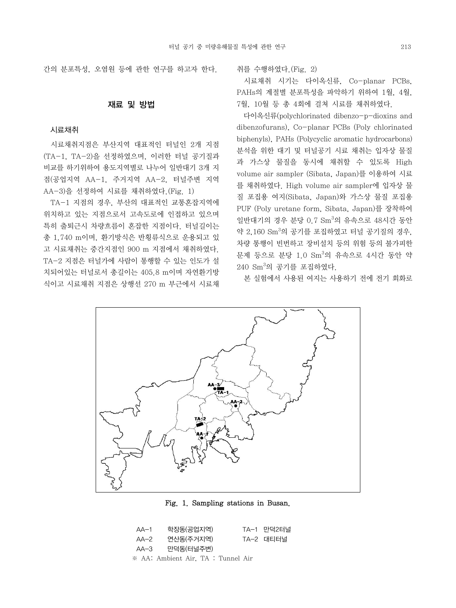간의 분포특성, 오염원 등에 관한 연구를 하고자 한다.

### 재료 및 방법

#### 시료채취

 시료채취지점은 부산지역 대표적인 터널인 2개 지점 (TA-1, TA-2)을 선정하였으며, 이러한 터널 공기질과 비교를 하기위하여 용도지역별로 나누어 일반대기 3개 지 점(공업지역 AA-1, 주거지역 AA-2, 터널주변 지역 AA-3)을 선정하여 시료를 채취하였다.(Fig. 1)

 TA-1 지점의 경우, 부산의 대표적인 교통혼잡지역에 위치하고 있는 지점으로서 고속도로에 인접하고 있으며 특히 출퇴근시 차량흐름이 혼잡한 지점이다. 터널길이는 총 1,740 m이며, 환기방식은 반횡류식으로 운용되고 있 고 시료채취는 중간지점인 900 m 지점에서 채취하였다. TA-2 지점은 터널가에 사람이 통행할 수 있는 인도가 설 치되어있는 터널로서 총길이는 405.8 m이며 자연환기방 식이고 시료채취 지점은 상행선 270 m 부근에서 시료채

취를 수행하였다.(Fig. 2)

 시료채취 시기는 다이옥신류, Co-planar PCBs, PAHs의 계절별 분포특성을 파악하기 위하여 1월, 4월, 7월, 10월 등 총 4회에 걸쳐 시료를 채취하였다.

 다이옥신류(polychlorinated dibenzo-p-dioxins and dibenzofurans), Co-planar PCBs (Poly chlorinated biphenyls), PAHs (Polycyclic aromatic hydrocarbons) 분석을 위한 대기 및 터널공기 시료 채취는 입자상 물질 과 가스상 물질을 동시에 채취할 수 있도록 High volume air sampler (Sibata, Japan)를 이용하여 시료 를 채취하였다. High volume air sampler에 입자상 물 질 포집용 여지(Sibata, Japan)와 가스상 물질 포집용 PUF (Poly uretane form, Sibata, Japan)를 장착하여 일반대기의 경우 분당 0.7  $\text{Sm}^3$ 의 유속으로 48시간 동안 약 2,160 Sm<sup>3</sup>의 공기를 포집하였고 터널 공기질의 경우, 차량 통행이 빈번하고 장비설치 등의 위험 등의 불가피한 문제 등으로 분당 1.0 Sm<sup>3</sup>의 유속으로 4시간 동안 약 240 Sm ${}^{3}$ 의 공기를 포집하였다.

본 실험에서 사용된 여지는 사용하기 전에 전기 회화로



#### Fig. 1. Sampling stations in Busan.

AA-1 학장동(공업지역) TA-1 만덕2터널 AA-2 연산동(주거지역) TA-2 대티터널 AA-3 만덕동(터널주변) ※ AA: Ambient Air, TA : Tunnel Air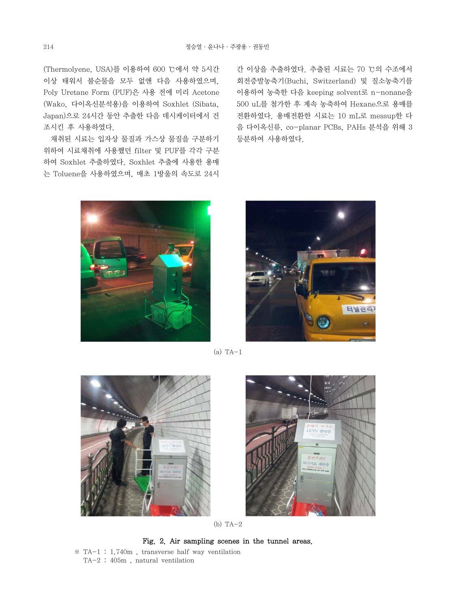(Thermolyene, USA)를 이용하여 600 ℃에서 약 5시간 이상 태워서 불순물을 모두 없앤 다음 사용하였으며, Poly Uretane Form (PUF)은 사용 전에 미리 Acetone (Wako, 다이옥신분석용)을 이용하여 Soxhlet (Sibata, Japan)으로 24시간 동안 추출한 다음 데시케이터에서 건 조시킨 후 사용하였다.

 채취된 시료는 입자상 물질과 가스상 물질을 구분하기 위하여 시료채취에 사용했던 filter 및 PUF를 각각 구분 하여 Soxhlet 추출하였다. Soxhlet 추출에 사용한 용매 는 Toluene을 사용하였으며, 매초 1방울의 속도로 24시 간 이상을 추출하였다. 추출된 시료는 70 ℃의 수조에서 회전증발농축기(Buchi, Switzerland) 및 질소농축기를 이용하여 농축한 다음 keeping solvent로 n-nonane을 500 uL를 첨가한 후 계속 농축하여 Hexane으로 용매를 전환하였다. 용매전환한 시료는 10 mL로 messup한 다 음 다이옥신류, co-planar PCBs, PAHs 분석을 위해 3 등분하여 사용하였다.





 $(a)$  TA $-1$ 





(b) TA-2

Fig. 2. Air sampling scenes in the tunnel areas.

 ※ TA-1 : 1,740m , transverse half way ventilation TA-2 : 405m , natural ventilation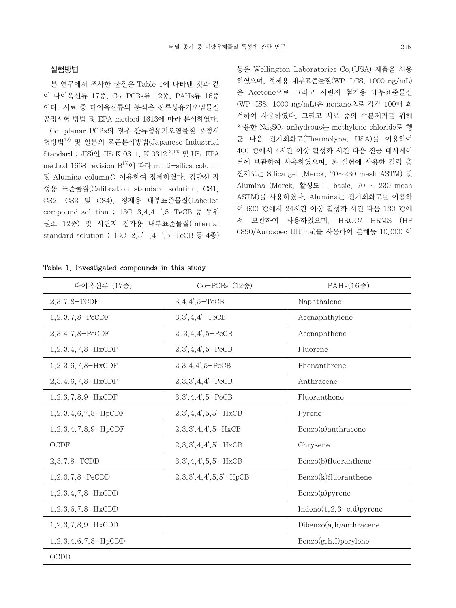#### 실험방법

 본 연구에서 조사한 물질은 Table 1에 나타낸 것과 같 이 다이옥신류 17종, Co-PCBs류 12종, PAHs류 16종 이다. 시료 중 다이옥신류의 분석은 잔류성유기오염물질 공정시험 방법 및 EPA method 1613에 따라 분석하였다. Co-planar PCBs의 경우 잔류성유기오염물질 공정시 험방법12) 및 일본의 표준분석방법(Japanese Industrial Standard ; JIS)인 JIS K 0311, K 031213,14) 및 US-EPA method 1668 revision  $B^{15}$ 에 따라 multi-silica column 및 Alumina column을 이용하여 정제하였다. 검량선 작 성용 표준물질(Calibration standard solution, CS1, CS2, CS3 및 CS4), 정제용 내부표준물질(Labelled compound solution ; 13C-3,4,4',5-TeCB 등 동위 원소 12종) 및 시린지 첨가용 내부표준물질(Internal standard solution ;  $13C-2,3'$ ,  $4$   $(5-TeCB \frac{1}{6}4)$ 

등은 Wellington Laboratories Co.(USA) 제품을 사용 하였으며, 정제용 내부표준물질(WP-LCS, 1000 ng/mL) 은 Acetone으로 그리고 시린지 첨가용 내부표준물질 (WP-ISS, 1000 ng/mL)은 nonane으로 각각 100배 희 석하여 사용하였다. 그리고 시료 중의 수분제거를 위해 사용한 Na2SO4 anhydrous는 methylene chloride로 헹 군 다음 전기회화로(Thermolyne, USA)를 이용하여 400 ℃에서 4시간 이상 활성화 시킨 다음 진공 데시케이 터에 보관하여 사용하였으며, 본 실험에 사용한 칼럼 충 진제로는 Silica gel (Merck, 70~230 mesh ASTM) 및 Alumina (Merck, 활성도Ⅰ, basic, 70 ~ 230 mesh ASTM)를 사용하였다. Alumina는 전기회화로를 이용하 여 600 ℃에서 24시간 이상 활성화 시킨 다음 130 ℃에 서 보관하여 사용하였으며, HRGC/ HRMS (HP 6890/Autospec Ultima)를 사용하여 분해능 10,000 이

| 다이옥신류 (17종)                   | $Co-PCBs$ $(12)$             | PAHs(16종)                   |  |
|-------------------------------|------------------------------|-----------------------------|--|
| 2,3,7,8-TCDF                  | $3, 4, 4', 5 - TeCB$         | Naphthalene                 |  |
| $1, 2, 3, 7, 8 - PeCDF$       | $3,3',4,4'-TeCB$             | Acenaphthylene              |  |
| $2,3,4,7,8-PeCDF$             | $2', 3, 4, 4', 5-PeCB$       | Acenaphthene                |  |
| $1, 2, 3, 4, 7, 8-HxCDF$      | $2,3',4,4',5-PeCB$           | Fluorene                    |  |
| $1, 2, 3, 6, 7, 8-HxCDF$      | $2,3,4,4',5-PeCB$            | Phenanthrene                |  |
| $2,3,4,6,7,8-HxCDF$           | $2,3,3',4,4'-PeCB$           | Anthracene                  |  |
| $1, 2, 3, 7, 8, 9$ – HxCDF    | $3,3',4,4',5-PeCB$           | Fluoranthene                |  |
| $1, 2, 3, 4, 6, 7, 8$ -HpCDF  | $2, 3', 4, 4', 5, 5'$ – HxCB | Pyrene                      |  |
| $1, 2, 3, 4, 7, 8, 9$ - HpCDF | $2,3,3',4,4',5-HxCB$         | Benzo(a)anthracene          |  |
| <b>OCDF</b>                   | $2,3,3',4,4',5'$ -HxCB       | Chrysene                    |  |
| $2,3,7,8-$ TCDD               | $3,3',4,4',5,5'-HxCB$        | Benzo(b)fluoranthene        |  |
| 1, 2, 3, 7, 8-PeCDD           | $2,3,3',4,4',5,5'-HpCB$      | Benzo(k)fluoranthene        |  |
| $1, 2, 3, 4, 7, 8-HxCDD$      |                              | $Benzo(a)$ pyrene           |  |
| $1, 2, 3, 6, 7, 8-HxCDD$      |                              | Indeno $(1,2,3-c,d)$ pyrene |  |
| $1, 2, 3, 7, 8, 9$ -HxCDD     |                              | $Dibenzo(a,h)$ anthracene   |  |
| $1, 2, 3, 4, 6, 7, 8-HpCDD$   |                              | $Benzo(g,h,I)$ perylene     |  |
| OCDD                          |                              |                             |  |

Table 1. Investigated compounds in this study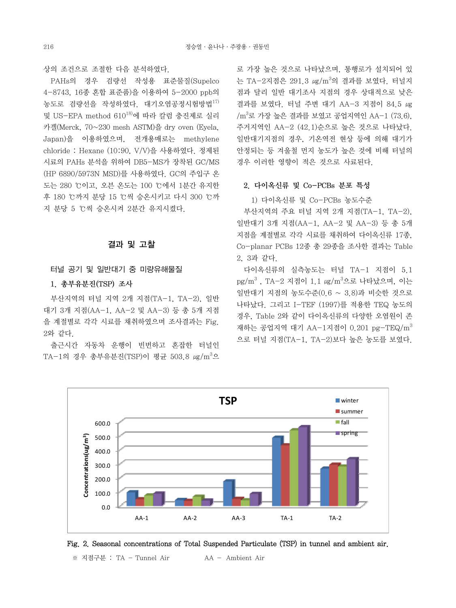상의 조건으로 조절한 다음 분석하였다.

 PAHs의 경우 검량선 작성용 표준물질(Supelco 4-8743, 16종 혼합 표준품)을 이용하여 5-2000 ppb의 농도로 검량선을 작성하였다. 대기오염공정시험방법17) 및 US-EPA method 61018)에 따라 칼럼 충진제로 실리 카겔(Merck, 70~230 mesh ASTM)을 dry oven (Eyela, Japan)을 이용하였으며, 전개용매로는 methylene chloride : Hexane (10:90, V/V)을 사용하였다. 정제된 시료의 PAHs 분석을 위하여 DB5-MS가 장착된 GC/MS (HP 6890/5973N MSD)를 사용하였다. GC의 주입구 온 도는 280 ℃이고, 오븐 온도는 100 ℃에서 1분간 유지한 후 180 ℃까지 분당 15 ℃씩 승온시키고 다시 300 ℃까 지 분당 5 ℃씩 승온시켜 2분간 유지시켰다.

### 결과 및 고찰

#### 터널 공기 및 일반대기 중 미량유해물질

### 1. 총부유분진(TSP) 조사

 부산지역의 터널 지역 2개 지점(TA-1, TA-2), 일반 대기 3개 지점(AA-1, AA-2 및 AA-3) 등 총 5개 지점 을 계절별로 각각 시료를 채취하였으며 조사결과는 Fig. 2와 같다.

 출근시간 자동차 운행이 빈번하고 혼잡한 터널인 TA-1의 경우 총부유분진(TSP)이 평균 503.8 *u*g/m<sup>3</sup>으

로 가장 높은 것으로 나타났으며, 통행로가 설치되어 있 는 TA-2지점은 291.3 *u*g/m<sup>3</sup>의 결과를 보였다. 터널지 점과 달리 일반 대기조사 지점의 경우 상대적으로 낮은 결과를 보였다. 터널 주변 대기 AA-3 지점이 84.5 ㎍  $\rm /m^3$ 로 가장 높은 결과를 보였고 공업지역인 AA-1 (73.6), 주거지역인 AA-2 (42.1)순으로 높은 것으로 나타났다. 일반대기지점의 경우, 기온역전 현상 등에 의해 대기가 안정되는 등 겨울철 먼지 농도가 높은 것에 비해 터널의 경우 이러한 영향이 적은 것으로 사료된다.

## 2. 다이옥신류 및 Co-PCBs 분포 특성

1) 다이옥신류 및 Co-PCBs 농도수준

 부산지역의 주요 터널 지역 2개 지점(TA-1, TA-2), 일반대기 3개 지점(AA-1, AA-2 및 AA-3) 등 총 5개 지점을 계절별로 각각 시료를 채취하여 다이옥신류 17종, Co-planar PCBs 12종 총 29종을 조사한 결과는 Table 2, 3과 같다.

 다이옥신류의 실측농도는 터널 TA-1 지점이 5.1 pg/m<sup>3</sup> , TA-2 지점이 1.1 μg/m<sup>3</sup>으로 나타났으며, 이는 일반대기 지점의 농도수준(0.6 ~ 3.8)과 비슷한 것으로 나타났다. 그리고 I-TEF (1997)를 적용한 TEQ 농도의 경우, Table 2와 같이 다이옥신류의 다양한 오염원이 존 재하는 공업지역 대기 AA-1지점이 0.201 pg-TEQ/m<sup>3</sup> 으로 터널 지점(TA-1, TA-2)보다 높은 농도를 보였다.



Fig. 2. Seasonal concentrations of Total Suspended Particulate (TSP) in tunnel and ambient air.

※ 지점구분 : TA - Tunnel Air AA - Ambient Air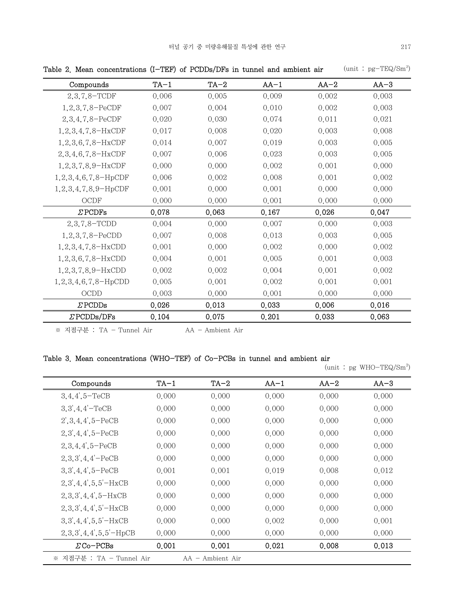| mean concentrations (1 111) or I color bit a manier and ampletic an |        |        |        |        |        |
|---------------------------------------------------------------------|--------|--------|--------|--------|--------|
| Compounds                                                           | $TA-1$ | $TA-2$ | $AA-1$ | $AA-2$ | $AA-3$ |
| $2,3,7,8-TCDF$                                                      | 0.006  | 0.005  | 0.009  | 0.002  | 0.003  |
| 1, 2, 3, 7, 8-PeCDF                                                 | 0.007  | 0.004  | 0.010  | 0.002  | 0.003  |
| 2, 3, 4, 7, 8-PeCDF                                                 | 0.020  | 0.030  | 0.074  | 0.011  | 0.021  |
| $1, 2, 3, 4, 7, 8-HxCDF$                                            | 0.017  | 0.008  | 0.020  | 0.003  | 0.008  |
| $1, 2, 3, 6, 7, 8-HxCDF$                                            | 0.014  | 0.007  | 0.019  | 0.003  | 0.005  |
| $2,3,4,6,7,8-HxCDF$                                                 | 0.007  | 0.006  | 0.023  | 0.003  | 0.005  |
| $1, 2, 3, 7, 8, 9$ – HxCDF                                          | 0.000  | 0.000  | 0.002  | 0.001  | 0.000  |
| $1, 2, 3, 4, 6, 7, 8$ -HpCDF                                        | 0.006  | 0.002  | 0.008  | 0,001  | 0.002  |
| $1, 2, 3, 4, 7, 8, 9$ -HpCDF                                        | 0.001  | 0.000  | 0.001  | 0.000  | 0.000  |
| $\rm{OCDF}$                                                         | 0.000  | 0.000  | 0.001  | 0.000  | 0.000  |
| $Z$ PCDFs                                                           | 0.078  | 0.063  | 0.167  | 0.026  | 0.047  |
| $2,3,7,8-$ TCDD                                                     | 0.004  | 0.000  | 0.007  | 0.000  | 0.003  |
| $1, 2, 3, 7, 8 - PeCDD$                                             | 0.007  | 0.008  | 0.013  | 0.003  | 0.005  |
| $1, 2, 3, 4, 7, 8-HxCDD$                                            | 0.001  | 0.000  | 0.002  | 0.000  | 0.002  |
| $1, 2, 3, 6, 7, 8-HxCDD$                                            | 0.004  | 0.001  | 0.005  | 0.001  | 0.003  |
| 1,2,3,7,8,9-HxCDD                                                   | 0.002  | 0.002  | 0.004  | 0.001  | 0.002  |
| $1, 2, 3, 4, 6, 7, 8$ -HpCDD                                        | 0.005  | 0.001  | 0.002  | 0.001  | 0.001  |
| OCDD                                                                | 0.003  | 0.000  | 0.001  | 0.000  | 0.000  |
| $Z$ PCDDs                                                           | 0.026  | 0.013  | 0.033  | 0.006  | 0.016  |
| $\Sigma$ PCDDs/DFs                                                  | 0.104  | 0.075  | 0.201  | 0.033  | 0.063  |

Table 2. Mean concentrations  $(1-TEF)$  of PCDDs/DFs in tunnel and ambient air (unit:  $pg - TEQ/Sm^3$ )

※ 지점구분 : TA - Tunnel Air <br>
AA - Ambient Air

# Table 3. Mean concentrations (WHO-TEF) of Co-PCBs in tunnel and ambient air

 $(\text{unit}: \text{pg} \text{ WHO}-\text{TEQ}/\text{Sm}^3)$ 

| Compounds                | $TA-1$ | $TA-2$             | $AA-1$ | $AA-2$ | $AA-3$ |
|--------------------------|--------|--------------------|--------|--------|--------|
| $3,4,4',5-TeCB$          | 0.000  | 0.000              | 0.000  | 0.000  | 0.000  |
| $3,3',4,4'-TeCB$         | 0.000  | 0.000              | 0.000  | 0.000  | 0.000  |
| $2', 3, 4, 4', 5 - PeCB$ | 0.000  | 0.000              | 0.000  | 0.000  | 0.000  |
| $2,3',4,4',5-PeCB$       | 0.000  | 0.000              | 0.000  | 0.000  | 0.000  |
| $2,3,4,4',5-PeCB$        | 0.000  | 0.000              | 0.000  | 0.000  | 0.000  |
| $2,3,3',4,4'-PeCB$       | 0.000  | 0.000              | 0.000  | 0.000  | 0.000  |
| $3,3',4,4',5-PeCB$       | 0.001  | 0.001              | 0.019  | 0.008  | 0.012  |
| $2,3',4,4',5,5'-HxCB$    | 0.000  | 0.000              | 0.000  | 0.000  | 0.000  |
| $2,3,3',4,4',5-HxCB$     | 0.000  | 0.000              | 0.000  | 0.000  | 0.000  |
| $2,3,3',4,4',5'-HxCB$    | 0.000  | 0.000              | 0.000  | 0.000  | 0.000  |
| $3,3',4,4',5,5'-HxCB$    | 0.000  | 0.000              | 0.002  | 0.000  | 0.001  |
| $2,3,3',4,4',5,5'-HpCB$  | 0.000  | 0.000              | 0.000  | 0.000  | 0.000  |
| $\Sigma$ Co-PCBs         | 0.001  | 0.001              | 0.021  | 0.008  | 0.013  |
| ※ 지점구분 : TA - Tunnel Air |        | $AA - Ambient Air$ |        |        |        |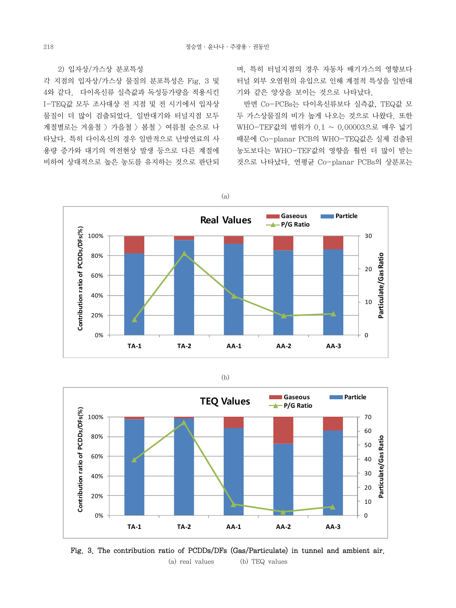### 2) 입자상/가스상 분포특성

각 지점의 입자상/가스상 물질의 분포특성은 Fig. 3 및 4와 같다. 다이옥신류 실측값과 독성등가량을 적용시킨 I-TEQ값 모두 조사대상 전 지점 및 전 시기에서 입자상 물질이 더 많이 검출되었다. 일반대기와 터널지점 모두 계절별로는 겨울철 > 가을철 > 봄철 > 여름철 순으로 나 타났다. 특히 다이옥신의 경우 일반적으로 난방연료의 사 용량 증가와 대기의 역전현상 발생 등으로 다른 계절에 비하여 상대적으로 높은 농도를 유지하는 것으로 판단되

며, 특히 터널지점의 경우 자동차 배기가스의 영향보다 터널 외부 오염원의 유입으로 인해 계절적 특성을 일반대 기와 같은 양상을 보이는 것으로 나타났다.

 반면 Co-PCBs는 다이옥신류보다 실측값, TEQ값 모 두 가스상물질의 비가 높게 나오는 것으로 나왔다. 또한 WHO-TEF값의 범위가 0.1 ~ 0.00003으로 매우 넓기 때문에 Co-planar PCB의 WHO-TEQ값은 실제 검출된 농도보다는 WHO-TEF값의 영향을 훨씬 더 많이 받는 것으로 나타났다. 연평균 Co-planar PCBs의 상분포는



(b)



Fig. 3. The contribution ratio of PCDDs/DFs (Gas/Particulate) in tunnel and ambient air. (a) real values (b) TEQ values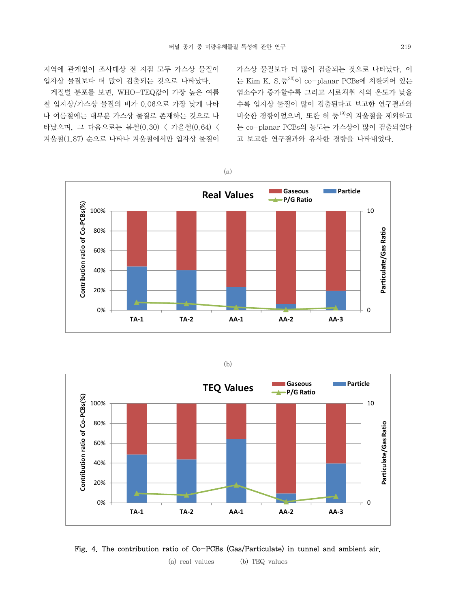지역에 관계없이 조사대상 전 지점 모두 가스상 물질이 입자상 물질보다 더 많이 검출되는 것으로 나타났다.

 계절별 분포를 보면, WHO-TEQ값이 가장 높은 여름 철 입자상/가스상 물질의 비가 0.06으로 가장 낮게 나타 나 여름철에는 대부분 가스상 물질로 존재하는 것으로 나 타났으며, 그 다음으로는 봄철(0.30) < 가을철(0.64) < 겨울철(1.87) 순으로 나타나 겨울철에서만 입자상 물질이

가스상 물질보다 더 많이 검출되는 것으로 나타났다. 이 는 Kim K. S.등23)이 co-planar PCBs에 치환되어 있는 염소수가 증가할수록 그리고 시료채취 시의 온도가 낮을 수록 입자상 물질이 많이 검출된다고 보고한 연구결과와 비슷한 경향이었으며, 또한 허 등19)의 겨울철을 제외하고 는 co-planar PCBs의 농도는 가스상이 많이 검출되었다 고 보고한 연구결과와 유사한 경향을 나타내었다.









(a) real values (b) TEQ values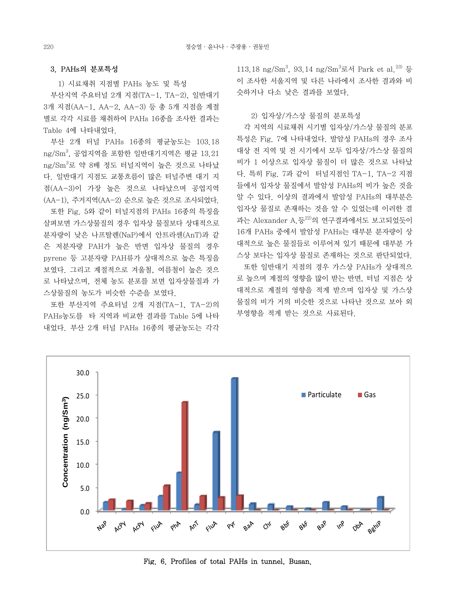#### 3. PAHs의 분포특성

1) 시료채취 지점별 PAHs 농도 및 특성

 부산지역 주요터널 2개 지점(TA-1, TA-2), 일반대기 3개 지점(AA-1, AA-2, AA-3) 등 총 5개 지점을 계절 별로 각각 시료를 채취하여 PAHs 16종을 조사한 결과는 Table 4에 나타내었다.

 부산 2개 터널 PAHs 16종의 평균농도는 103.18 ng/Sm3 , 공업지역을 포함한 일반대기지역은 평균 13.21 ng/Sm<sup>3</sup>로 약 8배 정도 터널지역이 높은 것으로 나타났 다. 일반대기 지점도 교통흐름이 많은 터널주변 대기 지 점(AA-3)이 가장 높은 것으로 나타났으며 공업지역 (AA-1), 주거지역(AA-2) 순으로 높은 것으로 조사되었다.

 또한 Fig. 5와 같이 터널지점의 PAHs 16종의 특징을 살펴보면 가스상물질의 경우 입자상 물질보다 상대적으로 분자량이 낮은 나프탈렌(NaP)에서 안트라센(AnT)과 같 은 저분자량 PAH가 높은 반면 입자상 물질의 경우 pyrene 등 고분자량 PAH류가 상대적으로 높은 특징을 보였다. 그리고 계절적으로 겨울철, 여름철이 높은 것으 로 나타났으며, 전체 농도 분포를 보면 입자상물질과 가 스상물질의 농도가 비슷한 수준을 보였다.

 또한 부산지역 주요터널 2개 지점(TA-1, TA-2)의 PAHs농도를 타 지역과 비교한 결과를 Table 5에 나타 내었다. 부산 2개 터널 PAHs 16종의 평균농도는 각각

113.18 ng/Sm<sup>3</sup>, 93.14 ng/Sm<sup>3</sup>로서 Park et al.<sup>23)</sup> 등 이 조사한 서울지역 및 다른 나라에서 조사한 결과와 비 슷하거나 다소 낮은 결과를 보였다.

2) 입자상/가스상 물질의 분포특성

 각 지역의 시료채취 시기별 입자상/가스상 물질의 분포 특성은 Fig. 7에 나타내었다. 발암성 PAHs의 경우 조사 대상 전 지역 및 전 시기에서 모두 입자상/가스상 물질의 비가 1 이상으로 입자상 물질이 더 많은 것으로 나타났 다. 특히 Fig. 7과 같이 터널지점인 TA-1, TA-2 지점 들에서 입자상 물질에서 발암성 PAHs의 비가 높은 것을 알 수 있다. 이상의 결과에서 발암성 PAHs의 대부분은 입자상 물질로 존재하는 것을 알 수 있었는데 이러한 결 과는 Alexander A.등 $^{22)}$ 의 연구결과에서도 보고되었듯이 16개 PAHs 중에서 발암성 PAHs는 대부분 분자량이 상 대적으로 높은 물질들로 이루어져 있기 때문에 대부분 가 스상 보다는 입자상 물질로 존재하는 것으로 판단되었다.

 또한 일반대기 지점의 경우 가스상 PAHs가 상대적으 로 높으며 계절의 영향을 많이 받는 반면, 터널 지점은 상 대적으로 계절의 영향을 적게 받으며 입자상 및 가스상 물질의 비가 거의 비슷한 것으로 나타난 것으로 보아 외 부영향을 적게 받는 것으로 사료된다.



Fig. 6. Profiles of total PAHs in tunnel, Busan.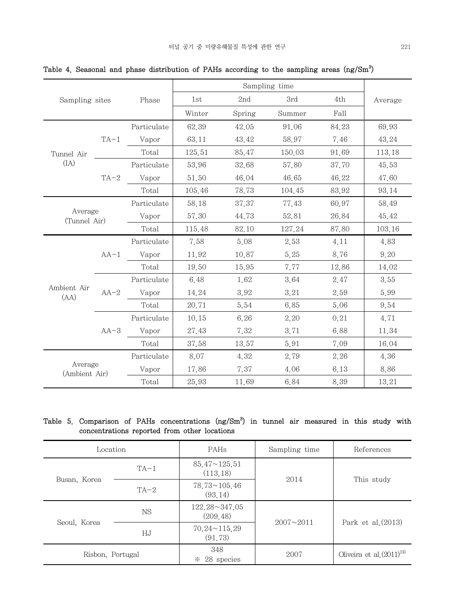| Sampling sites           |        |             | Sampling time |        |        |       |         |
|--------------------------|--------|-------------|---------------|--------|--------|-------|---------|
|                          |        | Phase       | 1st           | 2nd    | 3rd    | 4th   | Average |
|                          |        |             | Winter        | Spring | Summer | Fall  |         |
|                          |        | Particulate | 62.39         | 42.05  | 91.06  | 84.23 | 69.93   |
|                          | $TA-1$ | Vapor       | 63.11         | 43.42  | 58.97  | 7.46  | 43.24   |
| Tunnel Air               |        | Total       | 125.51        | 85.47  | 150.03 | 91.69 | 113.18  |
| (IA)                     |        | Particulate | 53.96         | 32.68  | 57.80  | 37.70 | 45.53   |
|                          | $TA-2$ | Vapor       | 51.50         | 46.04  | 46.65  | 46.22 | 47.60   |
|                          |        | Total       | 105.46        | 78.73  | 104.45 | 83.92 | 93.14   |
|                          |        | Particulate | 58.18         | 37.37  | 77.43  | 60.97 | 58.49   |
| Average<br>(Tunnel Air)  | Vapor  | 57.30       | 44.73         | 52.81  | 26.84  | 45.42 |         |
|                          |        | Total       | 115.48        | 82.10  | 127.24 | 87.80 | 103.16  |
|                          |        | Particulate | 7.58          | 5.08   | 2.53   | 4.11  | 4.83    |
|                          | $AA-1$ | Vapor       | 11.92         | 10.87  | 5.25   | 8.76  | 9.20    |
|                          |        | Total       | 19.50         | 15.95  | 7.77   | 12.86 | 14.02   |
|                          |        | Particulate | 6.48          | 1.62   | 3.64   | 2.47  | 3.55    |
| Ambient Air<br>(AA)      | $AA-2$ | Vapor       | 14.24         | 3.92   | 3.21   | 2.59  | 5.99    |
|                          |        | Total       | 20.71         | 5.54   | 6.85   | 5.06  | 9.54    |
|                          | $AA-3$ | Particulate | 10.15         | 6.26   | 2.20   | 0.21  | 4.71    |
|                          |        | Vapor       | 27.43         | 7.32   | 3.71   | 6.88  | 11.34   |
|                          |        | Total       | 37.58         | 13.57  | 5.91   | 7.09  | 16.04   |
| Average<br>(Ambient Air) |        | Particulate | 8.07          | 4.32   | 2.79   | 2.26  | 4.36    |
|                          |        | Vapor       | 17.86         | 7.37   | 4.06   | 6.13  | 8.86    |
|                          |        | Total       | 25.93         | 11.69  | 6.84   | 8.39  | 13.21   |

Table 4. Seasonal and phase distribution of PAHs according to the sampling areas  $\rm (ng/Sm^3)$ 

# Table 5. Comparison of PAHs concentrations  $(ng/Sm<sup>3</sup>)$  in tunnel air measured in this study with concentrations reported from other locations

| Location         |           | PAHs                                | Sampling time    | References                    |
|------------------|-----------|-------------------------------------|------------------|-------------------------------|
| Busan, Korea     | $TA-1$    | $85.47 \sim 125.51$<br>(113, 18)    | 2014             | This study                    |
|                  | $TA-2$    | $78.73 \times 105.46$<br>(93.14)    |                  |                               |
| Seoul, Korea     | <b>NS</b> | $122.28 \times 347.05$<br>(209, 48) | $2007 \sim 2011$ | Park et al. $(2013)$          |
|                  | ΗJ        | $70.24 \times 115.29$<br>(91, 73)   |                  |                               |
| Risbon, Portugal |           | 348<br>28 species<br>$\mathbb{X}$   | 2007             | Oliveira et al. $(2011)^{24}$ |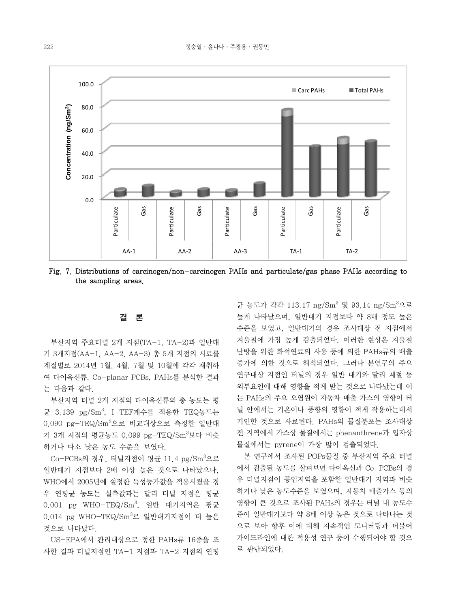

Fig. 7. Distributions of carcinogen/non-carcinogen PAHs and particulate/gas phase PAHs according to the sampling areas.

### 결 론

 부산지역 주요터널 2개 지점(TA-1, TA-2)과 일반대 기 3개지점(AA-1, AA-2, AA-3) 총 5개 지점의 시료를 계절별로 2014년 1월, 4월, 7월 및 10월에 각각 채취하 여 다이옥신류, Co-planar PCBs, PAHs를 분석한 결과 는 다음과 같다.

 부산지역 터널 2개 지점의 다이옥신류의 총 농도는 평 균 3.139 pg/Sm<sup>3</sup>, I-TEF계수를 적용한 TEQ농도는 0.090 pg-TEQ/Sm<sup>3</sup>으로 비교대상으로 측정한 일반대 기 3개 지점의 평균농도 0.099 pg-TEQ/Sm<sup>3</sup>보다 비슷 하거나 다소 낮은 농도 수준을 보였다.

Co-PCBs의 경우, 터널지점이 평균 11.4 pg/Sm<sup>3</sup>으로 일반대기 지점보다 2배 이상 높은 것으로 나타났으나, WHO에서 2005년에 설정한 독성등가값을 적용시켰을 경 우 연평균 농도는 실측값과는 달리 터널 지점은 평균 0.001 pg WHO-TEQ/Sm<sup>3</sup>, 일반 대기지역은 평균  $0.014$  pg WHO-TEQ/Sm ${}^{3}$ 로 일반대기지점이 더 높은 것으로 나타났다.

 US-EPA에서 관리대상으로 정한 PAHs류 16종을 조 사한 결과 터널지점인 TA-1 지점과 TA-2 지점의 연평

균 농도가 각각 113.17 ng/Sm<sup>3</sup> 및 93.14 ng/Sm<sup>3</sup>으로 높게 나타났으며, 일반대기 지점보다 약 8배 정도 높은 수준을 보였고, 일반대기의 경우 조사대상 전 지점에서 겨울철에 가장 높게 검출되었다. 이러한 현상은 겨울철 난방을 위한 화석연료의 사용 등에 의한 PAHs류의 배출 증가에 의한 것으로 해석되었다. 그러나 본연구의 주요 연구대상 지점인 터널의 경우 일반 대기와 달리 계절 등 외부요인에 대해 영향을 적게 받는 것으로 나타났는데 이 는 PAHs의 주요 오염원이 자동차 배출 가스의 영향이 터 널 안에서는 기온이나 풍향의 영향이 적게 작용하는데서 기인한 것으로 사료된다. PAHs의 물질분포는 조사대상 전 지역에서 가스상 물질에서는 phenanthrene과 입자상 물질에서는 pyrene이 가장 많이 검출되었다.

 본 연구에서 조사된 POPs물질 중 부산지역 주요 터널 에서 검출된 농도를 살펴보면 다이옥신과 Co-PCBs의 경 우 터널지점이 공업지역을 포함한 일반대기 지역과 비슷 하거나 낮은 농도수준을 보였으며, 자동차 배출가스 등의 영향이 큰 것으로 조사된 PAHs의 경우는 터널 내 농도수 준이 일반대기보다 약 8배 이상 높은 것으로 나타나는 것 으로 보아 향후 이에 대해 지속적인 모니터링과 더불어 가이드라인에 대한 적용성 연구 등이 수행되어야 할 것으 로 판단되었다.